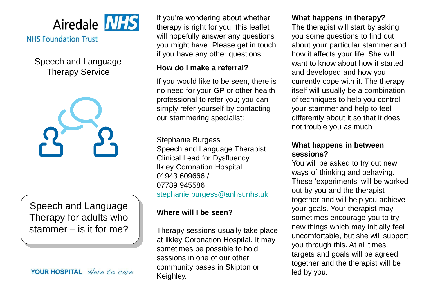

# **NHS Foundation Trust**

Speech and Language Therapy Service



Speech and Language Therapy for adults who stammer – is it for me?

#### YOUR HOSPITAL Here to care

If you're wondering about whether therapy is right for you, this leaflet will hopefully answer any questions you might have. Please get in touch if you have any other questions.

#### **How do I make a referral?**

If you would like to be seen, there is no need for your GP or other health professional to refer you; you can simply refer yourself by contacting our stammering specialist:

Stephanie Burgess Speech and Language Therapist Clinical Lead for Dysfluency Ilkley Coronation Hospital 01943 609666 / 07789 945586 [stephanie.burgess@anhst.nhs.uk](mailto:stephanie.burgess@anhst.nhs.uk)

## **Where will I be seen?**

Therapy sessions usually take place at Ilkley Coronation Hospital. It may sometimes be possible to hold sessions in one of our other community bases in Skipton or Keighley.

#### **What happens in therapy?**

The therapist will start by asking you some questions to find out about your particular stammer and how it affects your life. She will want to know about how it started and developed and how you currently cope with it. The therapy itself will usually be a combination of techniques to help you control your stammer and help to feel differently about it so that it does not trouble you as much

## **What happens in between sessions?**

You will be asked to try out new ways of thinking and behaving. These 'experiments' will be worked out by you and the therapist together and will help you achieve your goals. Your therapist may sometimes encourage you to try new things which may initially feel uncomfortable, but she will support you through this. At all times, targets and goals will be agreed together and the therapist will be led by you.